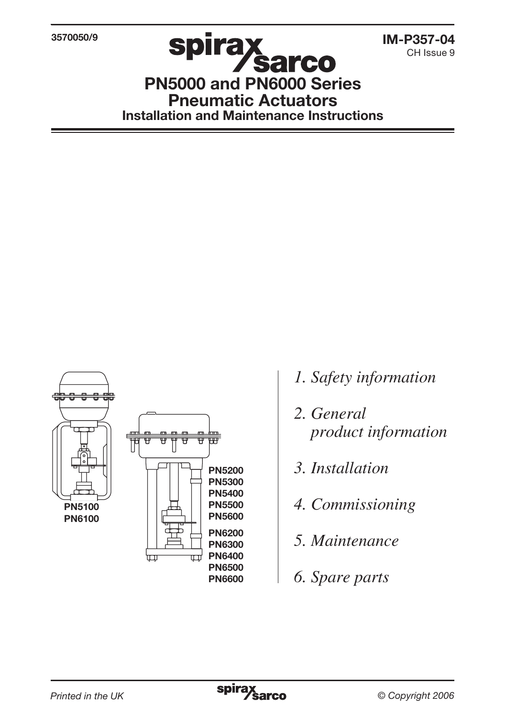3570050/9

CH Issue 9

PN5000 and PN6000 Series Pneumatic Actuators Installation and Maintenance Instructions



- *1. Safety information*
- *2. General product information*
- *3. Installation*
- *4. Commissioning*
- *5. Maintenance*
- *6. Spare parts*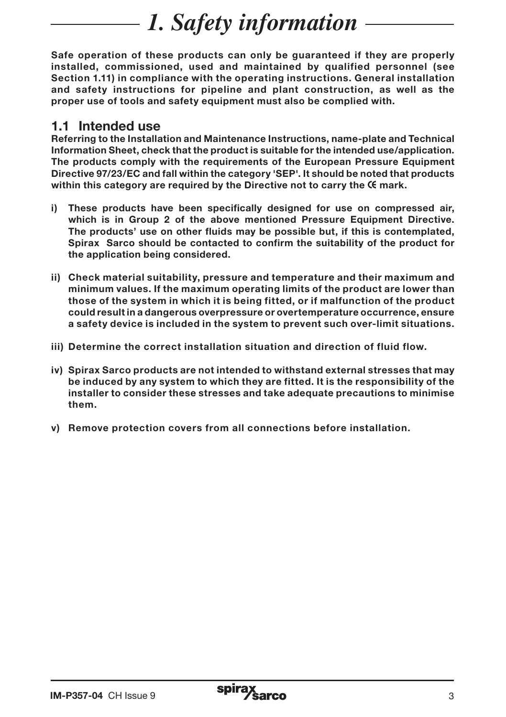# *1. Safety information*

Safe operation of these products can only be guaranteed if they are properly installed, commissioned, used and maintained by qualified personnel (see Section 1.11) in compliance with the operating instructions. General installation and safety instructions for pipeline and plant construction, as well as the proper use of tools and safety equipment must also be complied with.

#### 1.1 Intended use

Referring to the Installation and Maintenance Instructions, name-plate and Technical Information Sheet, check that the product is suitable for the intended use/application. The products comply with the requirements of the European Pressure Equipment Directive 97/23/EC and fall within the category 'SEP'. It should be noted that products within this category are required by the Directive not to carry the  $K$  mark.

- i) These products have been specifically designed for use on compressed air, which is in Group 2 of the above mentioned Pressure Equipment Directive. The products' use on other fluids may be possible but, if this is contemplated, Spirax Sarco should be contacted to confirm the suitability of the product for the application being considered.
- ii) Check material suitability, pressure and temperature and their maximum and minimum values. If the maximum operating limits of the product are lower than those of the system in which it is being fitted, or if malfunction of the product could result in a dangerous overpressure or overtemperature occurrence, ensure a safety device is included in the system to prevent such over-limit situations.
- iii) Determine the correct installation situation and direction of fluid flow.
- iv) Spirax Sarco products are not intended to withstand external stresses that may be induced by any system to which they are fitted. It is the responsibility of the installer to consider these stresses and take adequate precautions to minimise them.
- v) Remove protection covers from all connections before installation.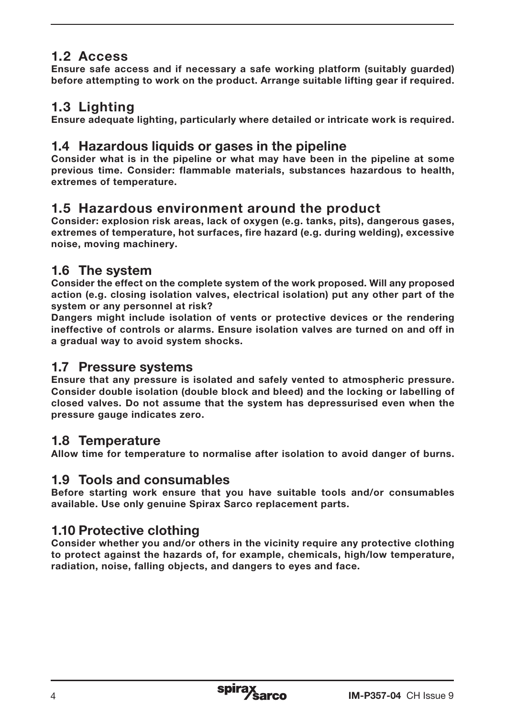## 1.2 Access

Ensure safe access and if necessary a safe working platform (suitably guarded) before attempting to work on the product. Arrange suitable lifting gear if required.

## 1.3 Lighting

Ensure adequate lighting, particularly where detailed or intricate work is required.

#### 1.4 Hazardous liquids or gases in the pipeline

Consider what is in the pipeline or what may have been in the pipeline at some previous time. Consider: flammable materials, substances hazardous to health, extremes of temperature.

#### 1.5 Hazardous environment around the product

Consider: explosion risk areas, lack of oxygen (e.g. tanks, pits), dangerous gases, extremes of temperature, hot surfaces, fire hazard (e.g. during welding), excessive noise, moving machinery.

#### 1.6 The system

Consider the effect on the complete system of the work proposed. Will any proposed action (e.g. closing isolation valves, electrical isolation) put any other part of the system or any personnel at risk?

Dangers might include isolation of vents or protective devices or the rendering ineffective of controls or alarms. Ensure isolation valves are turned on and off in a gradual way to avoid system shocks.

#### 1.7 Pressure systems

Ensure that any pressure is isolated and safely vented to atmospheric pressure. Consider double isolation (double block and bleed) and the locking or labelling of closed valves. Do not assume that the system has depressurised even when the pressure gauge indicates zero.

#### 1.8 Temperature

Allow time for temperature to normalise after isolation to avoid danger of burns.

#### 1.9 Tools and consumables

Before starting work ensure that you have suitable tools and/or consumables available. Use only genuine Spirax Sarco replacement parts.

## 1.10 Protective clothing

Consider whether you and/or others in the vicinity require any protective clothing to protect against the hazards of, for example, chemicals, high/low temperature, radiation, noise, falling objects, and dangers to eyes and face.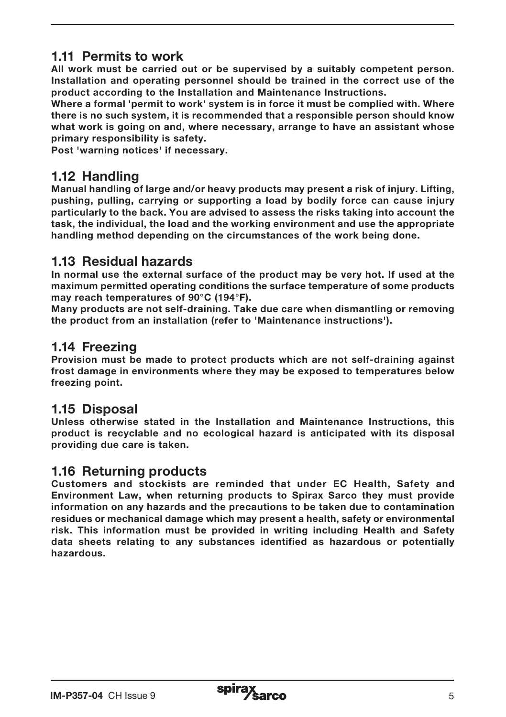## 1.11 Permits to work

All work must be carried out or be supervised by a suitably competent person. Installation and operating personnel should be trained in the correct use of the product according to the Installation and Maintenance Instructions.

Where a formal 'permit to work' system is in force it must be complied with. Where there is no such system, it is recommended that a responsible person should know what work is going on and, where necessary, arrange to have an assistant whose primary responsibility is safety.

Post 'warning notices' if necessary.

#### 1.12 Handling

Manual handling of large and/or heavy products may present a risk of injury. Lifting, pushing, pulling, carrying or supporting a load by bodily force can cause injury particularly to the back. You are advised to assess the risks taking into account the task, the individual, the load and the working environment and use the appropriate handling method depending on the circumstances of the work being done.

#### 1.13 Residual hazards

In normal use the external surface of the product may be very hot. If used at the maximum permitted operating conditions the surface temperature of some products may reach temperatures of 90°C (194°F).

Many products are not self-draining. Take due care when dismantling or removing the product from an installation (refer to 'Maintenance instructions').

#### 1.14 Freezing

Provision must be made to protect products which are not self-draining against frost damage in environments where they may be exposed to temperatures below freezing point.

## 1.15 Disposal

Unless otherwise stated in the Installation and Maintenance Instructions, this product is recyclable and no ecological hazard is anticipated with its disposal providing due care is taken.

#### 1.16 Returning products

Customers and stockists are reminded that under EC Health, Safety and Environment Law, when returning products to Spirax Sarco they must provide information on any hazards and the precautions to be taken due to contamination residues or mechanical damage which may present a health, safety or environmental risk. This information must be provided in writing including Health and Safety data sheets relating to any substances identified as hazardous or potentially hazardous.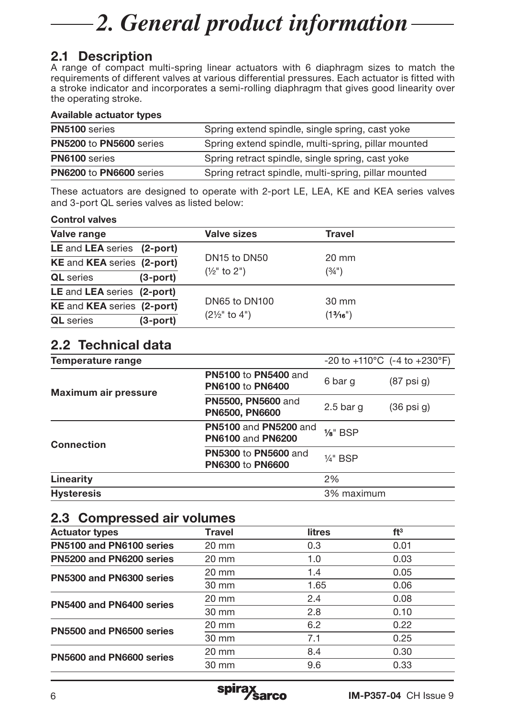# *2. General product information*

## 2.1 Description

A range of compact multi-spring linear actuators with 6 diaphragm sizes to match the requirements of different valves at various differential pressures. Each actuator is fitted with a stroke indicator and incorporates a semi-rolling diaphragm that gives good linearity over the operating stroke.

#### Available actuator types

| PN5100 series           | Spring extend spindle, single spring, cast yoke      |  |  |  |  |
|-------------------------|------------------------------------------------------|--|--|--|--|
| PN5200 to PN5600 series | Spring extend spindle, multi-spring, pillar mounted  |  |  |  |  |
| <b>PN6100</b> series    | Spring retract spindle, single spring, cast yoke     |  |  |  |  |
| PN6200 to PN6600 series | Spring retract spindle, multi-spring, pillar mounted |  |  |  |  |

These actuators are designed to operate with 2-port LE, LEA, KE and KEA series valves and 3-port QL series valves as listed below:

#### Control valves

| Valve range                                                       |                | <b>Valve sizes</b>                   | Travel          |  |
|-------------------------------------------------------------------|----------------|--------------------------------------|-----------------|--|
| LE and LEA series (2-port)                                        |                |                                      |                 |  |
| <b>KE and KEA series (2-port)</b>                                 |                | DN <sub>15</sub> to DN <sub>50</sub> | $20 \text{ mm}$ |  |
| <b>QL</b> series                                                  | $(3$ -port $)$ | $(\frac{1}{2}$ " to 2")              | (3/4")          |  |
| LE and LEA series (2-port)                                        |                |                                      |                 |  |
| <b>KE and KEA series (2-port)</b><br><b>QL</b> series<br>(3-port) |                | DN65 to DN100                        | $30 \text{ mm}$ |  |
|                                                                   |                | $(2\frac{1}{2}$ " to 4")             | (13/16")        |  |

## 2.2 Technical data

| Temperature range    |                                                          |                     | $-20$ to $+110^{\circ}$ C ( $-4$ to $+230^{\circ}$ F) |
|----------------------|----------------------------------------------------------|---------------------|-------------------------------------------------------|
| Maximum air pressure | <b>PN5100 to PN5400 and</b><br><b>PN6100 to PN6400</b>   | 6 bar g             | $(87 \text{ psi } q)$                                 |
|                      | <b>PN5500, PN5600 and</b><br><b>PN6500, PN6600</b>       | $2.5$ bar q         | $(36 \text{ psi } q)$                                 |
| Connection           | <b>PN5100 and PN5200 and</b><br><b>PN6100 and PN6200</b> | $\frac{1}{8}$ " BSP |                                                       |
|                      | <b>PN5300 to PN5600 and</b><br><b>PN6300 to PN6600</b>   | $1/4$ " BSP         |                                                       |
| Linearity            |                                                          | 2%                  |                                                       |
| <b>Hysteresis</b>    |                                                          | 3% maximum          |                                                       |

#### 2.3 Compressed air volumes

| <b>Travel</b>   | <b>litres</b> | ft <sup>3</sup> |
|-----------------|---------------|-----------------|
| $20 \text{ mm}$ | 0.3           | 0.01            |
| $20 \text{ mm}$ | 1.0           | 0.03            |
| $20 \text{ mm}$ | 1.4           | 0.05            |
| 30 mm           | 1.65          | 0.06            |
| $20 \text{ mm}$ | 2.4           | 0.08            |
| $30 \text{ mm}$ | 2.8           | 0.10            |
| $20 \text{ mm}$ | 6.2           | 0.22            |
| $30 \text{ mm}$ | 7.1           | 0.25            |
| $20 \text{ mm}$ | 8.4           | 0.30            |
| 30 mm           | 9.6           | 0.33            |
|                 |               |                 |

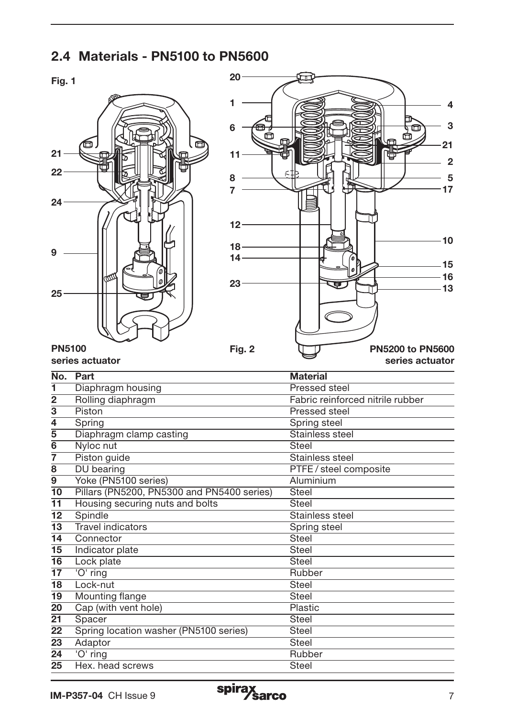## 2.4 Materials - PN5100 to PN5600





| <b>PN5100</b> |                 |
|---------------|-----------------|
|               | series actuator |

| No.                     | Part                                       | <b>Material</b>                  |
|-------------------------|--------------------------------------------|----------------------------------|
| 1                       | Diaphragm housing                          | Pressed steel                    |
| $\overline{2}$          | Rolling diaphragm                          | Fabric reinforced nitrile rubber |
| $\overline{\mathbf{3}}$ | Piston                                     | Pressed steel                    |
| 4                       | Spring                                     | Spring steel                     |
| $\overline{5}$          | Diaphragm clamp casting                    | Stainless steel                  |
| 6                       | Nyloc nut                                  | Steel                            |
| 7                       | Piston guide                               | Stainless steel                  |
| 8                       | DU bearing                                 | PTFE / steel composite           |
| 9                       | Yoke (PN5100 series)                       | Aluminium                        |
| 10                      | Pillars (PN5200, PN5300 and PN5400 series) | Steel                            |
| 11                      | Housing securing nuts and bolts            | Steel                            |
| 12                      | Spindle                                    | Stainless steel                  |
| 13                      | <b>Travel indicators</b>                   | Spring steel                     |
| 14                      | Connector                                  | <b>Steel</b>                     |
| 15                      | Indicator plate                            | <b>Steel</b>                     |
| 16                      | Lock plate                                 | Steel                            |
| 17                      | 'O' ring                                   | Rubber                           |
| 18                      | Lock-nut                                   | Steel                            |
| 19                      | Mounting flange                            | Steel                            |
| 20                      | Cap (with vent hole)                       | Plastic                          |
| 21                      | Spacer                                     | Steel                            |
| 22                      | Spring location washer (PN5100 series)     | <b>Steel</b>                     |
| 23                      | Adaptor                                    | Steel                            |
| 24                      | 'O' ring                                   | Rubber                           |
| 25                      | Hex, head screws                           | <b>Steel</b>                     |

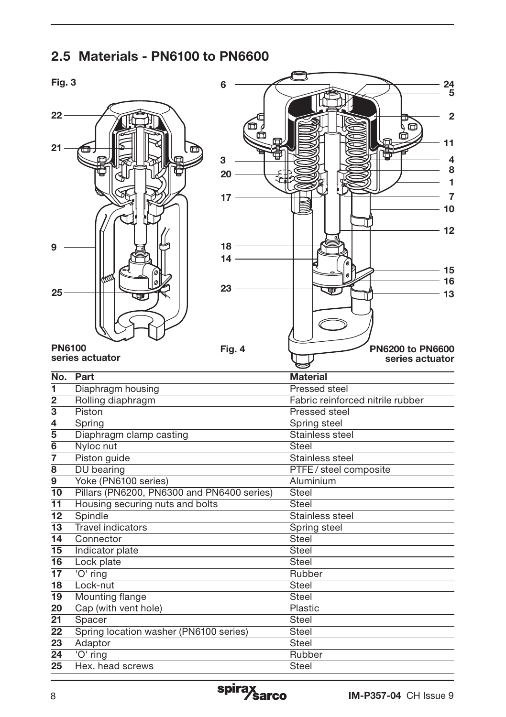## 2.5 Materials - PN6100 to PN6600

| Fig. 3                           |                                            | 6      | 24                               |
|----------------------------------|--------------------------------------------|--------|----------------------------------|
|                                  |                                            |        | 5                                |
| $22 -$                           |                                            |        | $\overline{2}$                   |
|                                  |                                            |        | $\Box$                           |
|                                  |                                            | m      | 11                               |
| $21 -$                           |                                            |        |                                  |
|                                  |                                            | 3      | 4<br>8                           |
|                                  |                                            | 20     | 1                                |
|                                  |                                            | 17     | 7                                |
|                                  |                                            |        | 10                               |
|                                  |                                            |        |                                  |
|                                  |                                            |        | 12                               |
|                                  |                                            | 18 -   |                                  |
|                                  |                                            | $14 -$ |                                  |
|                                  |                                            |        | 15                               |
|                                  |                                            | 23     | 16                               |
| 25                               |                                            |        | 13                               |
|                                  |                                            |        |                                  |
|                                  |                                            |        |                                  |
|                                  |                                            |        |                                  |
| <b>PN6100</b>                    |                                            | Fig. 4 | <b>PN6200 to PN6600</b>          |
|                                  |                                            |        |                                  |
|                                  | series actuator                            |        | series actuator                  |
| No.                              | Part                                       |        | <b>Material</b>                  |
| ī                                | Diaphragm housing                          |        | Pressed steel                    |
| $\overline{2}$                   | Rolling diaphragm                          |        | Fabric reinforced nitrile rubber |
| $\overline{\mathbf{3}}$          | Piston                                     |        | Pressed steel                    |
| $\overline{4}$                   | Spring                                     |        | Spring steel                     |
| $\overline{5}$<br>$\overline{6}$ | Diaphragm clamp casting                    |        | Stainless steel<br><b>Steel</b>  |
| 7                                | Nyloc nut                                  |        | Stainless steel                  |
| 8                                | Piston guide<br>DU bearing                 |        | PTFE / steel composite           |
| $\overline{9}$                   | Yoke (PN6100 series)                       |        | Aluminium                        |
| $\overline{10}$                  | Pillars (PN6200, PN6300 and PN6400 series) |        | <b>Steel</b>                     |
| 11                               | Housing securing nuts and bolts            |        | <b>Steel</b>                     |
| 12                               | Spindle                                    |        | Stainless steel                  |
| $\overline{13}$                  | <b>Travel indicators</b>                   |        | Spring steel                     |
| 14<br>15                         | Connector                                  |        | <b>Steel</b><br><b>Steel</b>     |
| 16                               | Indicator plate<br>Lock plate              |        | <b>Steel</b>                     |
| $\overline{17}$                  | 'O' ring                                   |        | Rubber                           |
| $\overline{18}$                  | Lock-nut                                   |        | <b>Steel</b>                     |
| 19                               | <b>Mounting flange</b>                     |        | <b>Steel</b>                     |
| 20                               | Cap (with vent hole)                       |        | Plastic                          |
| $\overline{21}$                  | Spacer                                     |        | <b>Steel</b>                     |
| $\overline{22}$                  | Spring location washer (PN6100 series)     |        | <b>Steel</b>                     |
| 23<br>$\overline{24}$            | Adaptor<br>'O' ring                        |        | <b>Steel</b><br>Rubber           |

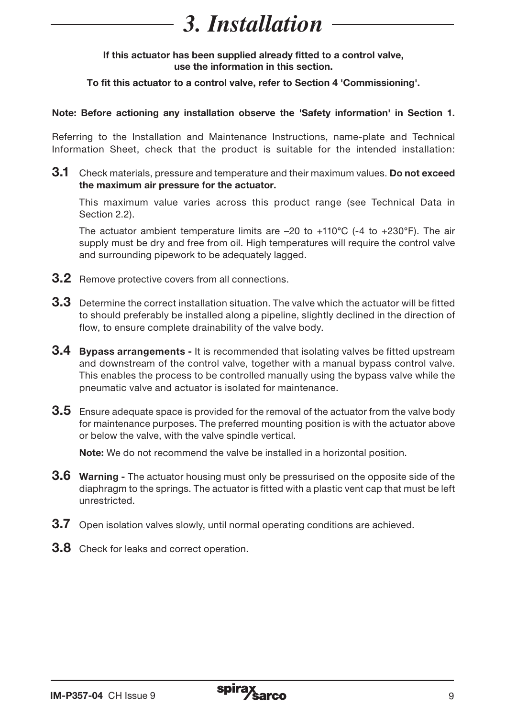# *3. Installation*

If this actuator has been supplied already fitted to a control valve, use the information in this section.

To fit this actuator to a control valve, refer to Section 4 'Commissioning'.

#### Note: Before actioning any installation observe the 'Safety information' in Section 1.

Referring to the Installation and Maintenance Instructions, name-plate and Technical Information Sheet, check that the product is suitable for the intended installation:

**3.1** Check materials, pressure and temperature and their maximum values. Do not exceed the maximum air pressure for the actuator.

 This maximum value varies across this product range (see Technical Data in Section 2.2).

The actuator ambient temperature limits are  $-20$  to  $+110^{\circ}$ C ( $-4$  to  $+230^{\circ}$ F). The air supply must be dry and free from oil. High temperatures will require the control valve and surrounding pipework to be adequately lagged.

- **3.2** Remove protective covers from all connections.
- **3.3** Determine the correct installation situation. The valve which the actuator will be fitted to should preferably be installed along a pipeline, slightly declined in the direction of flow, to ensure complete drainability of the valve body.
- **3.4 Bypass arrangements It is recommended that isolating valves be fitted upstream** and downstream of the control valve, together with a manual bypass control valve. This enables the process to be controlled manually using the bypass valve while the pneumatic valve and actuator is isolated for maintenance.
- 3.5 Ensure adequate space is provided for the removal of the actuator from the valve body for maintenance purposes. The preferred mounting position is with the actuator above or below the valve, with the valve spindle vertical.

Note: We do not recommend the valve be installed in a horizontal position.

- **3.6 Warning** The actuator housing must only be pressurised on the opposite side of the diaphragm to the springs. The actuator is fitted with a plastic vent cap that must be left unrestricted.
- **3.7** Open isolation valves slowly, until normal operating conditions are achieved.
- **3.8** Check for leaks and correct operation.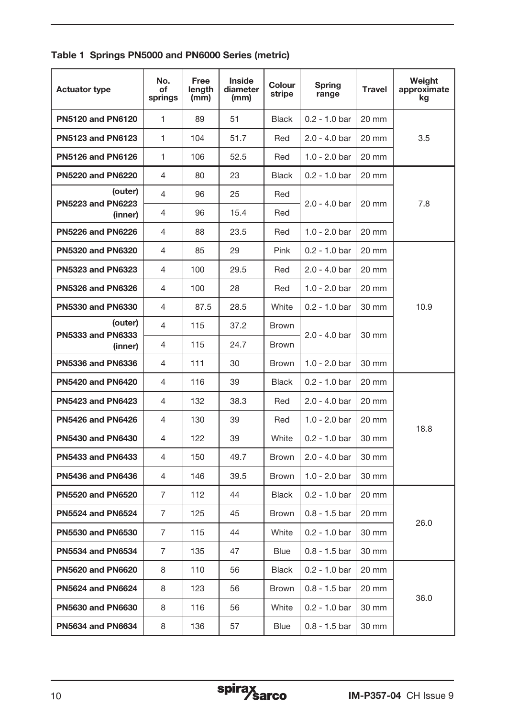|  | Table 1 Springs PN5000 and PN6000 Series (metric) |  |  |  |  |  |
|--|---------------------------------------------------|--|--|--|--|--|
|--|---------------------------------------------------|--|--|--|--|--|

| <b>Actuator type</b>                | No.<br>of<br>springs | Free<br>length<br>(mm) | <b>Inside</b><br>diameter<br>(mm) | Colour<br>stripe | Spring<br>range | <b>Travel</b> | Weight<br>approximate<br>kg |
|-------------------------------------|----------------------|------------------------|-----------------------------------|------------------|-----------------|---------------|-----------------------------|
| PN5120 and PN6120                   | 1                    | 89                     | 51                                | <b>Black</b>     | $0.2 - 1.0$ bar | 20 mm         |                             |
| PN5123 and PN6123                   | 1                    | 104                    | 51.7                              | Red              | $2.0 - 4.0$ bar | 20 mm         | 3.5                         |
| PN5126 and PN6126                   | 1                    | 106                    | 52.5                              | Red              | $1.0 - 2.0$ bar | 20 mm         |                             |
| <b>PN5220 and PN6220</b>            | 4                    | 80                     | 23                                | <b>Black</b>     | $0.2 - 1.0$ bar | 20 mm         |                             |
| (outer)<br><b>PN5223 and PN6223</b> | 4                    | 96                     | 25                                | Red              | $2.0 - 4.0$ bar | 20 mm         | 7.8                         |
| (inner)                             | 4                    | 96                     | 15.4                              | Red              |                 |               |                             |
| <b>PN5226 and PN6226</b>            | 4                    | 88                     | 23.5                              | Red              | $1.0 - 2.0$ bar | 20 mm         |                             |
| PN5320 and PN6320                   | 4                    | 85                     | 29                                | Pink             | $0.2 - 1.0$ bar | 20 mm         |                             |
| <b>PN5323 and PN6323</b>            | 4                    | 100                    | 29.5                              | Red              | $2.0 - 4.0$ bar | 20 mm         |                             |
| <b>PN5326 and PN6326</b>            | 4                    | 100                    | 28                                | Red              | $1.0 - 2.0$ bar | 20 mm         |                             |
| <b>PN5330 and PN6330</b>            | 4                    | 87.5                   | 28.5                              | White            | $0.2 - 1.0$ bar | 30 mm         | 10.9                        |
| (outer)<br><b>PN5333 and PN6333</b> | 4                    | 115                    | 37.2                              | <b>Brown</b>     | $2.0 - 4.0$ bar |               |                             |
| (inner)                             | 4                    | 115                    | 24.7                              | <b>Brown</b>     |                 | 30 mm         |                             |
| <b>PN5336 and PN6336</b>            | 4                    | 111                    | 30                                | Brown            | $1.0 - 2.0$ bar | 30 mm         |                             |
| <b>PN5420 and PN6420</b>            | 4                    | 116                    | 39                                | <b>Black</b>     | $0.2 - 1.0$ bar | 20 mm         |                             |
| <b>PN5423 and PN6423</b>            | 4                    | 132                    | 38.3                              | Red              | $2.0 - 4.0$ bar | 20 mm         |                             |
| <b>PN5426 and PN6426</b>            | 4                    | 130                    | 39                                | Red              | $1.0 - 2.0$ bar | 20 mm         | 18.8                        |
| <b>PN5430 and PN6430</b>            | $\overline{4}$       | 122                    | 39                                | White            | $0.2 - 1.0$ bar | 30 mm         |                             |
| <b>PN5433 and PN6433</b>            | 4                    | 150                    | 49.7                              | <b>Brown</b>     | $2.0 - 4.0$ bar | 30 mm         |                             |
| <b>PN5436 and PN6436</b>            | 4                    | 146                    | 39.5                              | <b>Brown</b>     | $1.0 - 2.0$ bar | 30 mm         |                             |
| <b>PN5520 and PN6520</b>            | $\overline{7}$       | 112                    | 44                                | <b>Black</b>     | $0.2 - 1.0$ bar | 20 mm         |                             |
| <b>PN5524 and PN6524</b>            | $\overline{7}$       | 125                    | 45                                | <b>Brown</b>     | $0.8 - 1.5$ bar | 20 mm         |                             |
| <b>PN5530 and PN6530</b>            | 7                    | 115                    | 44                                | White            | $0.2 - 1.0$ bar | 30 mm         | 26.0                        |
| <b>PN5534 and PN6534</b>            | 7                    | 135                    | 47                                | <b>Blue</b>      | $0.8 - 1.5$ bar | 30 mm         |                             |
| <b>PN5620 and PN6620</b>            | 8                    | 110                    | 56                                | <b>Black</b>     | $0.2 - 1.0$ bar | 20 mm         |                             |
| <b>PN5624 and PN6624</b>            | 8                    | 123                    | 56                                | <b>Brown</b>     | $0.8 - 1.5$ bar | 20 mm         | 36.0                        |
| <b>PN5630 and PN6630</b>            | 8                    | 116                    | 56                                | White            | $0.2 - 1.0$ bar | 30 mm         |                             |
| <b>PN5634 and PN6634</b>            | 8                    | 136                    | 57                                | <b>Blue</b>      | $0.8 - 1.5$ bar | 30 mm         |                             |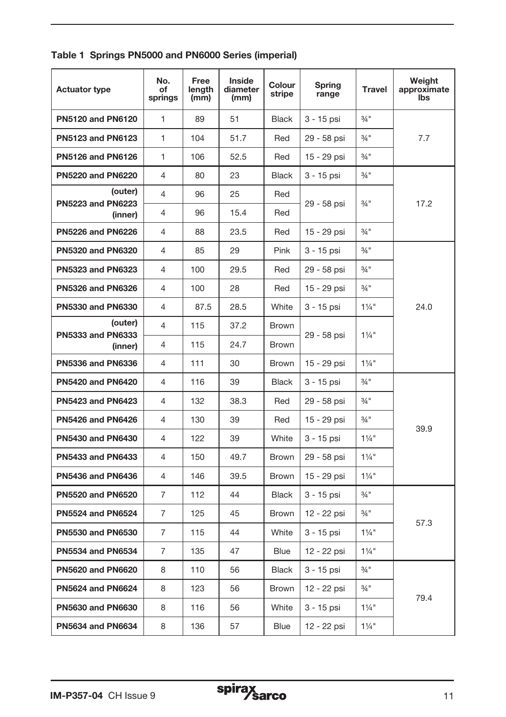|  |  |  |  |  |  | Table 1 Springs PN5000 and PN6000 Series (imperial) |
|--|--|--|--|--|--|-----------------------------------------------------|
|--|--|--|--|--|--|-----------------------------------------------------|

| <b>Actuator type</b>                | No.<br>οf<br>springs | Free<br>length<br>(mm) | Inside<br>diameter<br>(mm) | Colour<br>stripe | Spring<br>range | <b>Travel</b>       | Weight<br>approximate<br><b>Ibs</b> |
|-------------------------------------|----------------------|------------------------|----------------------------|------------------|-----------------|---------------------|-------------------------------------|
| <b>PN5120 and PN6120</b>            | $\mathbf{1}$         | 89                     | 51                         | <b>Black</b>     | 3 - 15 psi      | $3/4$ <sup>11</sup> |                                     |
| <b>PN5123 and PN6123</b>            | 1                    | 104                    | 51.7                       | Red              | 29 - 58 psi     | $3/4$ "             | 7.7                                 |
| <b>PN5126 and PN6126</b>            | 1                    | 106                    | 52.5                       | Red              | 15 - 29 psi     | $3/4$ <sup>11</sup> |                                     |
| <b>PN5220 and PN6220</b>            | 4                    | 80                     | 23                         | <b>Black</b>     | 3 - 15 psi      | $3/4$ <sup>11</sup> |                                     |
| (outer)<br><b>PN5223 and PN6223</b> | 4                    | 96                     | 25                         | Red              | 29 - 58 psi     | $\frac{3}{4}$ "     | 17.2                                |
| (inner)                             | 4                    | 96                     | 15.4                       | Red              |                 |                     |                                     |
| <b>PN5226 and PN6226</b>            | 4                    | 88                     | 23.5                       | Red              | 15 - 29 psi     | $3/4$ <sup>11</sup> |                                     |
| <b>PN5320 and PN6320</b>            | 4                    | 85                     | 29                         | Pink             | 3 - 15 psi      | $3/4$ <sup>11</sup> |                                     |
| <b>PN5323 and PN6323</b>            | 4                    | 100                    | 29.5                       | Red              | 29 - 58 psi     | $3/4$ "             |                                     |
| <b>PN5326 and PN6326</b>            | 4                    | 100                    | 28                         | Red              | 15 - 29 psi     | $3/4$ "             |                                     |
| <b>PN5330 and PN6330</b>            | 4                    | 87.5                   | 28.5                       | White            | 3 - 15 psi      | $1\frac{1}{4}$ "    | 24.0                                |
| (outer)<br><b>PN5333 and PN6333</b> | 4                    | 115                    | 37.2                       | <b>Brown</b>     | 29 - 58 psi     | $1\frac{1}{4}$ "    |                                     |
| (inner)                             | 4                    | 115                    | 24.7                       | <b>Brown</b>     |                 |                     |                                     |
| <b>PN5336 and PN6336</b>            | 4                    | 111                    | 30                         | <b>Brown</b>     | 15 - 29 psi     | $1\frac{1}{4}$ "    |                                     |
| <b>PN5420 and PN6420</b>            | $\overline{4}$       | 116                    | 39                         | <b>Black</b>     | 3 - 15 psi      | $3/4$ <sup>11</sup> |                                     |
| <b>PN5423 and PN6423</b>            | $\overline{4}$       | 132                    | 38.3                       | Red              | 29 - 58 psi     | $3/4$ <sup>11</sup> |                                     |
| <b>PN5426 and PN6426</b>            | $\overline{4}$       | 130                    | 39                         | Red              | 15 - 29 psi     | $3/4$ "             | 39.9                                |
| <b>PN5430 and PN6430</b>            | 4                    | 122                    | 39                         | White            | 3 - 15 psi      | $1\frac{1}{4}$ "    |                                     |
| <b>PN5433 and PN6433</b>            | 4                    | 150                    | 49.7                       | <b>Brown</b>     | 29 - 58 psi     | $1\frac{1}{4}$ "    |                                     |
| <b>PN5436 and PN6436</b>            | 4                    | 146                    | 39.5                       | <b>Brown</b>     | 15 - 29 psi     | $1\frac{1}{4}$ "    |                                     |
| <b>PN5520 and PN6520</b>            | $\overline{7}$       | 112                    | 44                         | <b>Black</b>     | 3 - 15 psi      | $3/4$ "             |                                     |
| <b>PN5524 and PN6524</b>            | 7                    | 125                    | 45                         | <b>Brown</b>     | 12 - 22 psi     | $3/4$ "             |                                     |
| <b>PN5530 and PN6530</b>            | 7                    | 115                    | 44                         | White            | 3 - 15 psi      | $1\frac{1}{4}$ "    | 57.3                                |
| <b>PN5534 and PN6534</b>            | 7                    | 135                    | 47                         | <b>Blue</b>      | 12 - 22 psi     | $1\frac{1}{4}$ "    |                                     |
| <b>PN5620 and PN6620</b>            | 8                    | 110                    | 56                         | <b>Black</b>     | 3 - 15 psi      | $3/4$ <sup>11</sup> |                                     |
| PN5624 and PN6624                   | 8                    | 123                    | 56                         | Brown            | 12 - 22 psi     | $3/4$ <sup>11</sup> | 79.4                                |
| <b>PN5630 and PN6630</b>            | 8                    | 116                    | 56                         | White            | 3 - 15 psi      | $1\frac{1}{4}$ "    |                                     |
| PN5634 and PN6634                   | 8                    | 136                    | 57                         | <b>Blue</b>      | 12 - 22 psi     | $1\frac{1}{4}$ "    |                                     |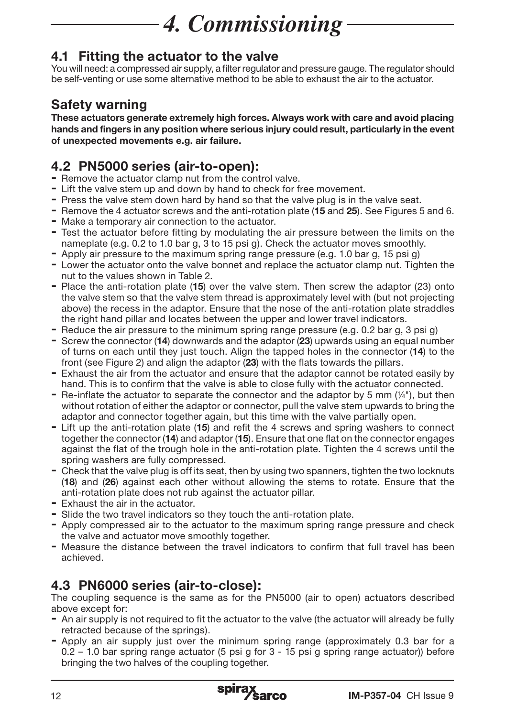# *4. Commissioning*

## 4.1 Fitting the actuator to the valve

You will need: a compressed air supply, a filter regulator and pressure gauge. The regulator should be self-venting or use some alternative method to be able to exhaust the air to the actuator.

## Safety warning

These actuators generate extremely high forces. Always work with care and avoid placing hands and fingers in any position where serious injury could result, particularly in the event of unexpected movements e.g. air failure.

## 4.2 PN5000 series (air-to-open):

- Remove the actuator clamp nut from the control valve.
- Lift the valve stem up and down by hand to check for free movement.
- Press the valve stem down hard by hand so that the valve plug is in the valve seat.
- Remove the 4 actuator screws and the anti-rotation plate (15 and 25). See Figures 5 and 6.
- Make a temporary air connection to the actuator.
- Test the actuator before fitting by modulating the air pressure between the limits on the nameplate (e.g. 0.2 to 1.0 bar g, 3 to 15 psi g). Check the actuator moves smoothly.
- Apply air pressure to the maximum spring range pressure (e.g. 1.0 bar g, 15 psi g)
- Lower the actuator onto the valve bonnet and replace the actuator clamp nut. Tighten the nut to the values shown in Table 2.
- Place the anti-rotation plate (15) over the valve stem. Then screw the adaptor (23) onto the valve stem so that the valve stem thread is approximately level with (but not projecting above) the recess in the adaptor. Ensure that the nose of the anti-rotation plate straddles the right hand pillar and locates between the upper and lower travel indicators.
- Reduce the air pressure to the minimum spring range pressure (e.g. 0.2 bar g, 3 psi g)
- Screw the connector (14) downwards and the adaptor (23) upwards using an equal number of turns on each until they just touch. Align the tapped holes in the connector (14) to the front (see Figure 2) and align the adaptor (23) with the flats towards the pillars.
- Exhaust the air from the actuator and ensure that the adaptor cannot be rotated easily by hand. This is to confirm that the valve is able to close fully with the actuator connected.
- Re-inflate the actuator to separate the connector and the adaptor by 5 mm  $(1/4)$ , but then without rotation of either the adaptor or connector, pull the valve stem upwards to bring the adaptor and connector together again, but this time with the valve partially open.
- Lift up the anti-rotation plate (15) and refit the 4 screws and spring washers to connect together the connector (14) and adaptor (15). Ensure that one flat on the connector engages against the flat of the trough hole in the anti-rotation plate. Tighten the 4 screws until the spring washers are fully compressed.
- Check that the valve plug is off its seat, then by using two spanners, tighten the two locknuts (18) and (26) against each other without allowing the stems to rotate. Ensure that the anti-rotation plate does not rub against the actuator pillar.
- Exhaust the air in the actuator.
- Slide the two travel indicators so they touch the anti-rotation plate.
- Apply compressed air to the actuator to the maximum spring range pressure and check the valve and actuator move smoothly together.
- Measure the distance between the travel indicators to confirm that full travel has been achieved.

## 4.3 PN6000 series (air-to-close):

The coupling sequence is the same as for the PN5000 (air to open) actuators described above except for:

- An air supply is not required to fit the actuator to the valve (the actuator will already be fully retracted because of the springs).
- Apply an air supply just over the minimum spring range (approximately 0.3 bar for a 0.2 – 1.0 bar spring range actuator (5 psi g for 3 - 15 psi g spring range actuator)) before bringing the two halves of the coupling together.

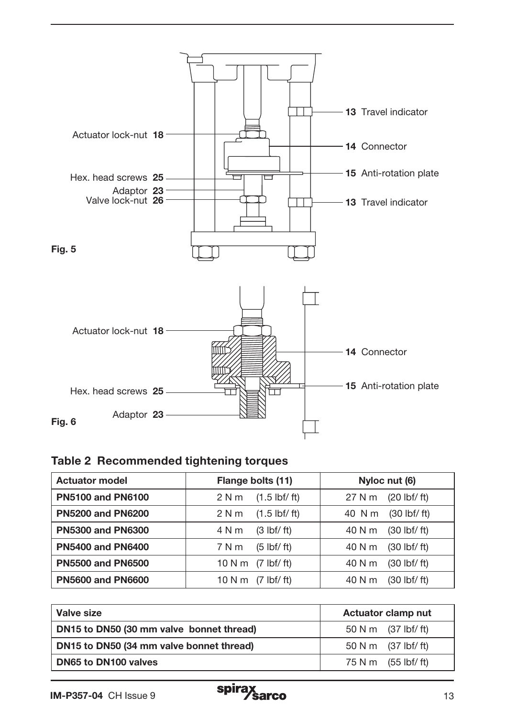

#### Table 2 Recommended tightening torques

| <b>Actuator model</b>    | Flange bolts (11)                      | Nyloc nut (6)                           |
|--------------------------|----------------------------------------|-----------------------------------------|
| <b>PN5100 and PN6100</b> | $(1.5 \text{ lbf}/\text{ft})$<br>2 N m | 27 N m<br>$(20 \text{ lbf}/\text{ft})$  |
| <b>PN5200 and PN6200</b> | $(1.5 \text{ lbf}/\text{ft})$<br>2 N m | $(30 \text{ lbf}/ \text{ft})$<br>40 N m |
| <b>PN5300 and PN6300</b> | 4 N m<br>$(3 \text{ lbf}/\text{ft})$   | $(30 \text{ lbf}/\text{ft})$<br>40 N m  |
| <b>PN5400 and PN6400</b> | 7 N m<br>$(5 \text{ lbf}/ \text{ft})$  | $(30 \text{ lbf}/\text{ft})$<br>40 N m  |
| <b>PN5500 and PN6500</b> | 10 N m $(7 \text{ lbf/ft})$            | $(30 \text{ lbf}/\text{ft})$<br>40 N m  |
| <b>PN5600 and PN6600</b> | 10 N m<br>$(7 \text{ lbf}/ \text{ft})$ | $(30 \text{ lbf}/\text{ft})$<br>40 N m  |

| Valve size                               | Actuator clamp nut  |
|------------------------------------------|---------------------|
| DN15 to DN50 (30 mm valve bonnet thread) | 50 N m (37 lbf/ ft) |
| DN15 to DN50 (34 mm valve bonnet thread) | 50 N m (37 lbf/ ft) |
| DN65 to DN100 valves                     | 75 N m (55 lbf/ft)  |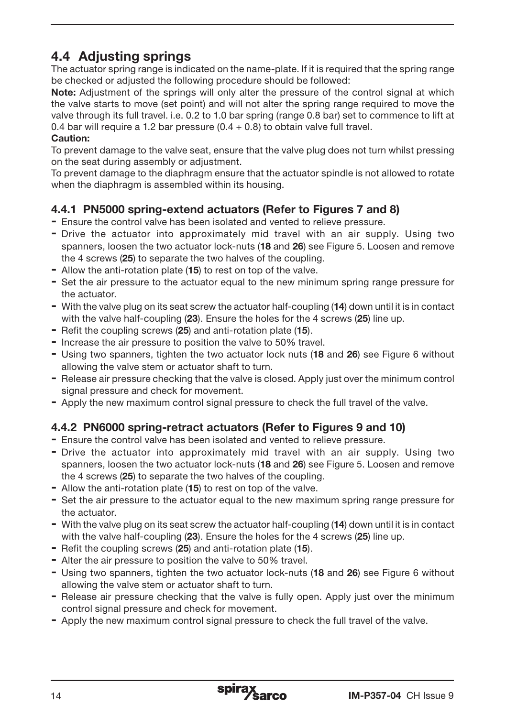## 4.4 Adjusting springs

The actuator spring range is indicated on the name-plate. If it is required that the spring range be checked or adjusted the following procedure should be followed:

Note: Adjustment of the springs will only alter the pressure of the control signal at which the valve starts to move (set point) and will not alter the spring range required to move the valve through its full travel. i.e. 0.2 to 1.0 bar spring (range 0.8 bar) set to commence to lift at 0.4 bar will require a 1.2 bar pressure  $(0.4 + 0.8)$  to obtain valve full travel.

#### Caution:

To prevent damage to the valve seat, ensure that the valve plug does not turn whilst pressing on the seat during assembly or adjustment.

To prevent damage to the diaphragm ensure that the actuator spindle is not allowed to rotate when the diaphragm is assembled within its housing.

#### 4.4.1 PN5000 spring-extend actuators (Refer to Figures 7 and 8)

- Ensure the control valve has been isolated and vented to relieve pressure.
- Drive the actuator into approximately mid travel with an air supply. Using two spanners, loosen the two actuator lock-nuts (18 and 26) see Figure 5. Loosen and remove the 4 screws (25) to separate the two halves of the coupling.
- Allow the anti-rotation plate (15) to rest on top of the valve.
- Set the air pressure to the actuator equal to the new minimum spring range pressure for the actuator.
- With the valve plug on its seat screw the actuator half-coupling (14) down until it is in contact with the valve half-coupling (23). Ensure the holes for the 4 screws (25) line up.
- Refit the coupling screws (25) and anti-rotation plate (15).
- Increase the air pressure to position the valve to 50% travel.
- Using two spanners, tighten the two actuator lock nuts (18 and 26) see Figure 6 without allowing the valve stem or actuator shaft to turn.
- Release air pressure checking that the valve is closed. Apply just over the minimum control signal pressure and check for movement.
- Apply the new maximum control signal pressure to check the full travel of the valve.

## 4.4.2 PN6000 spring-retract actuators (Refer to Figures 9 and 10)

- Ensure the control valve has been isolated and vented to relieve pressure.
- Drive the actuator into approximately mid travel with an air supply. Using two spanners, loosen the two actuator lock-nuts (18 and 26) see Figure 5. Loosen and remove the 4 screws (25) to separate the two halves of the coupling.
- Allow the anti-rotation plate (15) to rest on top of the valve.
- Set the air pressure to the actuator equal to the new maximum spring range pressure for the actuator.
- With the valve plug on its seat screw the actuator half-coupling (14) down until it is in contact with the valve half-coupling (23). Ensure the holes for the 4 screws (25) line up.
- Refit the coupling screws (25) and anti-rotation plate (15).
- Alter the air pressure to position the valve to 50% travel.
- Using two spanners, tighten the two actuator lock-nuts (18 and 26) see Figure 6 without allowing the valve stem or actuator shaft to turn.
- Release air pressure checking that the valve is fully open. Apply just over the minimum control signal pressure and check for movement.
- Apply the new maximum control signal pressure to check the full travel of the valve.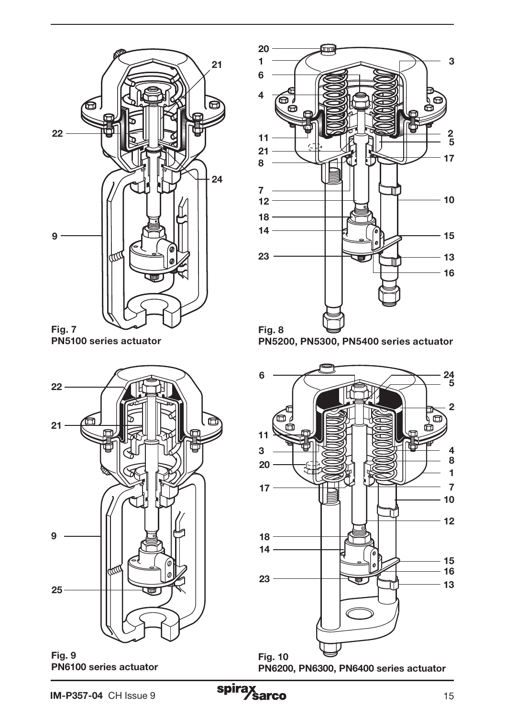

PN5100 series actuator



Fig. 9 PN6100 series actuator





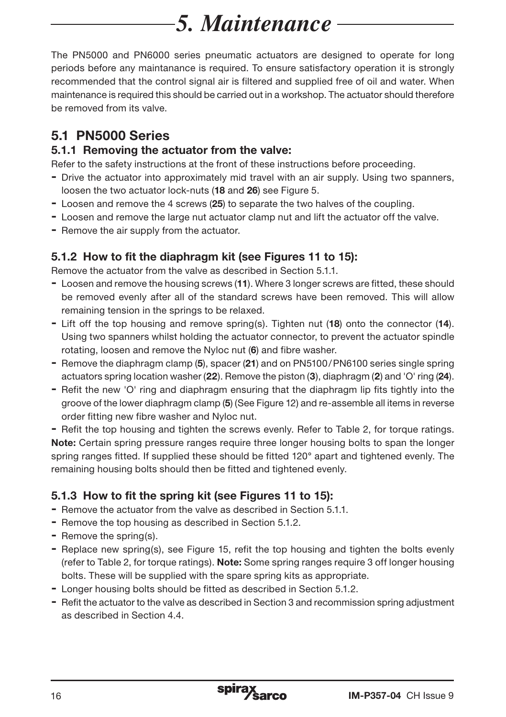# *5. Maintenance*

The PN5000 and PN6000 series pneumatic actuators are designed to operate for long periods before any maintanance is required. To ensure satisfactory operation it is strongly recommended that the control signal air is filtered and supplied free of oil and water. When maintenance is required this should be carried out in a workshop. The actuator should therefore be removed from its valve.

## 5.1 PN5000 Series

#### 5.1.1 Removing the actuator from the valve:

Refer to the safety instructions at the front of these instructions before proceeding.

- Drive the actuator into approximately mid travel with an air supply. Using two spanners, loosen the two actuator lock-nuts (18 and 26) see Figure 5.
- Loosen and remove the 4 screws (25) to separate the two halves of the coupling.
- Loosen and remove the large nut actuator clamp nut and lift the actuator off the valve.
- Remove the air supply from the actuator.

## 5.1.2 How to fit the diaphragm kit (see Figures 11 to 15):

Remove the actuator from the valve as described in Section 5.1.1.

- Loosen and remove the housing screws (11). Where 3 longer screws are fitted, these should be removed evenly after all of the standard screws have been removed. This will allow remaining tension in the springs to be relaxed.
- Lift off the top housing and remove spring(s). Tighten nut (18) onto the connector (14). Using two spanners whilst holding the actuator connector, to prevent the actuator spindle rotating, loosen and remove the Nyloc nut (6) and fibre washer.
- Remove the diaphragm clamp (5), spacer (21) and on PN5100/PN6100 series single spring actuators spring location washer (22). Remove the piston (3), diaphragm (2) and 'O' ring (24).
- Refit the new 'O' ring and diaphragm ensuring that the diaphragm lip fits tightly into the groove of the lower diaphragm clamp (5) (See Figure 12) and re-assemble all items in reverse order fitting new fibre washer and Nyloc nut.

- Refit the top housing and tighten the screws evenly. Refer to Table 2, for torque ratings. Note: Certain spring pressure ranges require three longer housing bolts to span the longer spring ranges fitted. If supplied these should be fitted 120° apart and tightened evenly. The remaining housing bolts should then be fitted and tightened evenly.

## 5.1.3 How to fit the spring kit (see Figures 11 to 15):

- Remove the actuator from the valve as described in Section 5.1.1.
- Remove the top housing as described in Section 5.1.2.
- Remove the spring(s).
- Replace new spring(s), see Figure 15, refit the top housing and tighten the bolts evenly (refer to Table 2, for torque ratings). Note: Some spring ranges require 3 off longer housing bolts. These will be supplied with the spare spring kits as appropriate.
- Longer housing bolts should be fitted as described in Section 5.1.2.
- Refit the actuator to the valve as described in Section 3 and recommission spring adjustment as described in Section 4.4.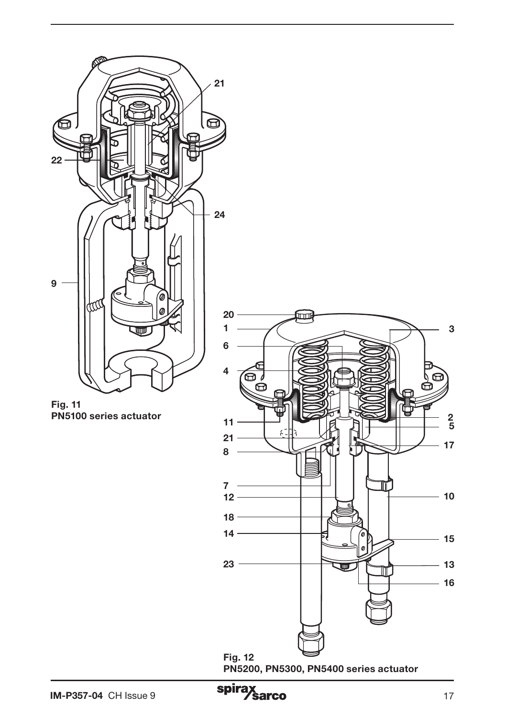

Fig. 11 PN5100 series actuator



PN5200, PN5300, PN5400 series actuator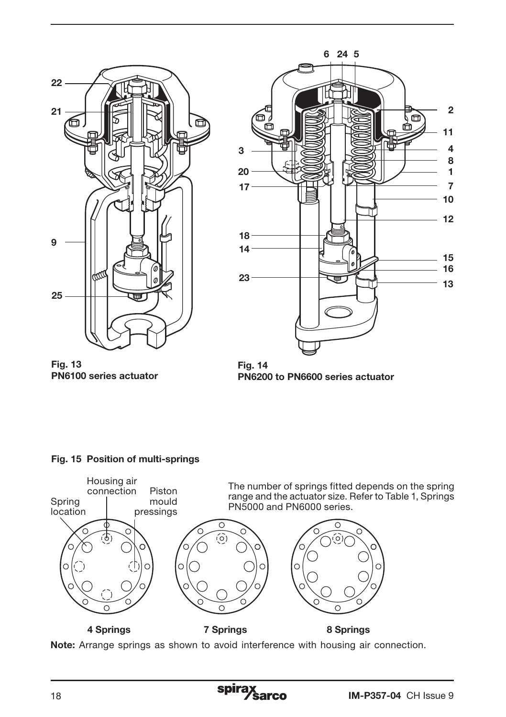



Fig. 13 PN6100 series actuator

Fig. 14 PN6200 to PN6600 series actuator

#### Fig. 15 Position of multi-springs



Note: Arrange springs as shown to avoid interference with housing air connection.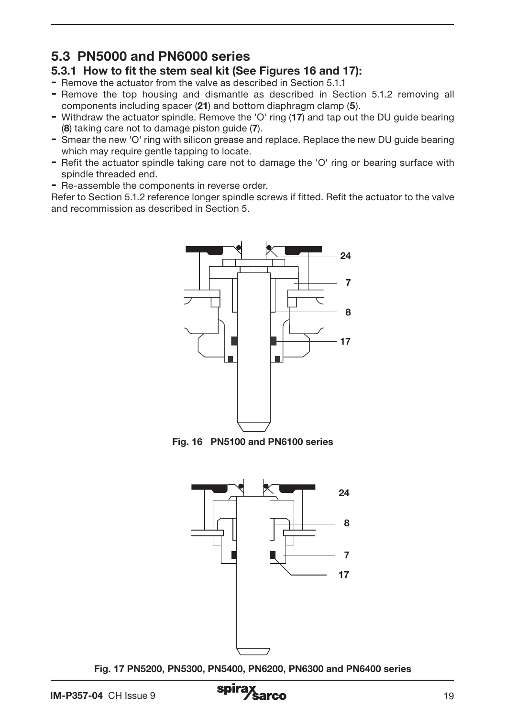## 5.3 PN5000 and PN6000 series

- 5.3.1 How to fit the stem seal kit (See Figures 16 and 17):
- Remove the actuator from the valve as described in Section 5.1.1
- Remove the top housing and dismantle as described in Section 5.1.2 removing all components including spacer (21) and bottom diaphragm clamp (5).
- Withdraw the actuator spindle. Remove the 'O' ring (17) and tap out the DU guide bearing (8) taking care not to damage piston guide (7).
- Smear the new 'O' ring with silicon grease and replace. Replace the new DU guide bearing which may require gentle tapping to locate.
- Refit the actuator spindle taking care not to damage the 'O' ring or bearing surface with spindle threaded end.
- Re-assemble the components in reverse order.

Refer to Section 5.1.2 reference longer spindle screws if fitted. Refit the actuator to the valve and recommission as described in Section 5.



Fig. 16 PN5100 and PN6100 series



Fig. 17 PN5200, PN5300, PN5400, PN6200, PN6300 and PN6400 series

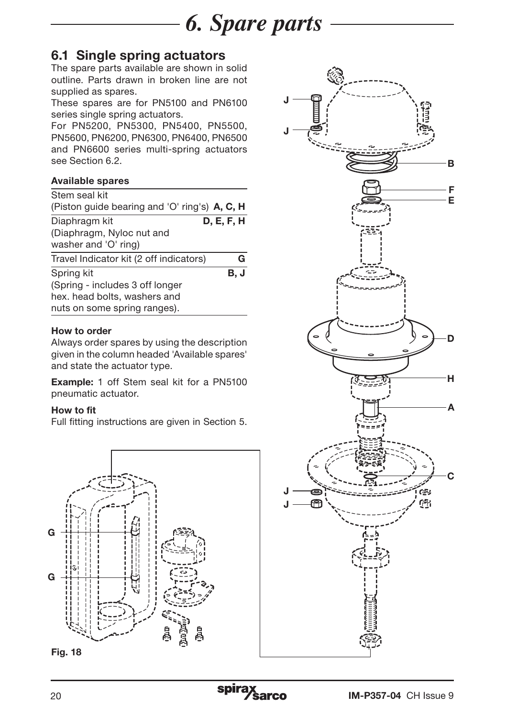

## 6.1 Single spring actuators

The spare parts available are shown in solid outline. Parts drawn in broken line are not supplied as spares.

These spares are for PN5100 and PN6100 series single spring actuators.

For PN5200, PN5300, PN5400, PN5500, PN5600, PN6200, PN6300, PN6400, PN6500 and PN6600 series multi-spring actuators see Section 6.2.

#### Available spares

| Stem seal kit                                 |            |
|-----------------------------------------------|------------|
| (Piston quide bearing and 'O' ring's) A, C, H |            |
| Diaphragm kit                                 | D, E, F, H |
| (Diaphragm, Nyloc nut and                     |            |
| washer and 'O' ring)                          |            |
| Travel Indicator kit (2 off indicators)       | G          |
| Spring kit                                    | B.J        |
| (Spring - includes 3 off longer               |            |
| hex. head bolts, washers and                  |            |
| nuts on some spring ranges).                  |            |

#### How to order

Always order spares by using the description given in the column headed 'Available spares' and state the actuator type.

Example: 1 off Stem seal kit for a PN5100 pneumatic actuator.

#### How to fit

Full fitting instructions are given in Section 5.





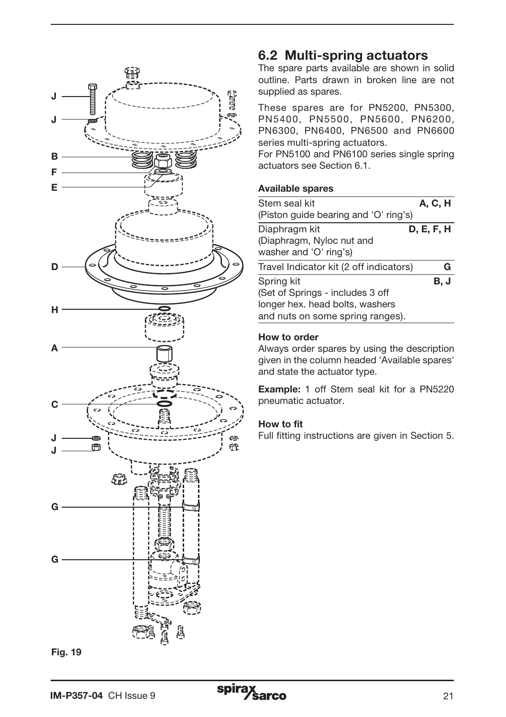

#### Fig. 19

#### 6.2 Multi-spring actuators

The spare parts available are shown in solid outline. Parts drawn in broken line are not supplied as spares.

These spares are for PN5200, PN5300, PN5400, PN5500, PN5600, PN6200, PN6300, PN6400, PN6500 and PN6600 series multi-spring actuators.

For PN5100 and PN6100 series single spring actuators see Section 6.1.

#### Available spares

| Stem seal kit                                       | <b>A, C, H</b> |
|-----------------------------------------------------|----------------|
| (Piston guide bearing and 'O' ring's)               |                |
| Diaphragm kit                                       | D, E, F, H     |
| (Diaphragm, Nyloc nut and<br>washer and 'O' ring's) |                |
| Travel Indicator kit (2 off indicators)             | G              |
| Spring kit                                          | B. J           |
| (Set of Springs - includes 3 off                    |                |
| longer hex. head bolts, washers                     |                |
| and nuts on some spring ranges).                    |                |

#### How to order

Always order spares by using the description given in the column headed 'Available spares' and state the actuator type.

Example: 1 off Stem seal kit for a PN5220 pneumatic actuator.

#### How to fit

Full fitting instructions are given in Section 5.